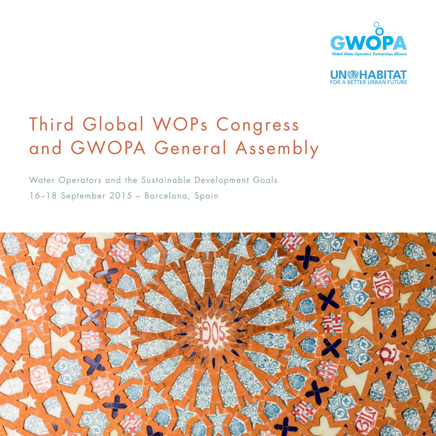



# Third Global WOPs Congress and GWOPA General Assembly

Water Operators and the Sustainable Development Goals 16–18 September 2015 – Barcelona, Spain

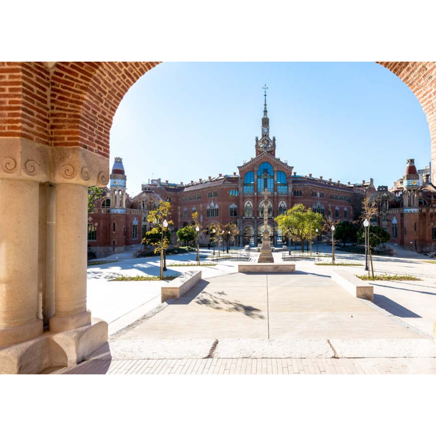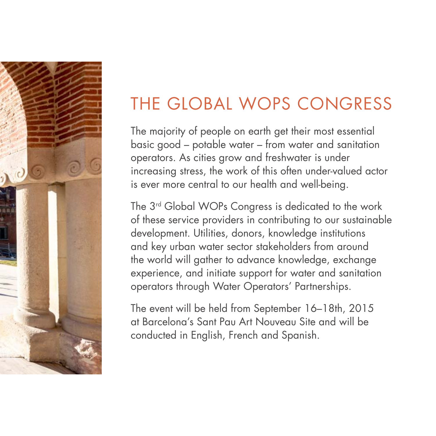

## THE GLOBAL WOPS CONGRESS

The majority of people on earth get their most essential basic good – potable water – from water and sanitation operators. As cities grow and freshwater is under increasing stress, the work of this often under-valued actor is ever more central to our health and well-being.

The 3<sup>rd</sup> Global WOPs Congress is dedicated to the work of these service providers in contributing to our sustainable development. Utilities, donors, knowledge institutions and key urban water sector stakeholders from around the world will gather to advance knowledge, exchange experience, and initiate support for water and sanitation operators through Water Operators' Partnerships.

The event will be held from September 16–18th, 2015 at Barcelona's Sant Pau Art Nouveau Site and will be conducted in English, French and Spanish.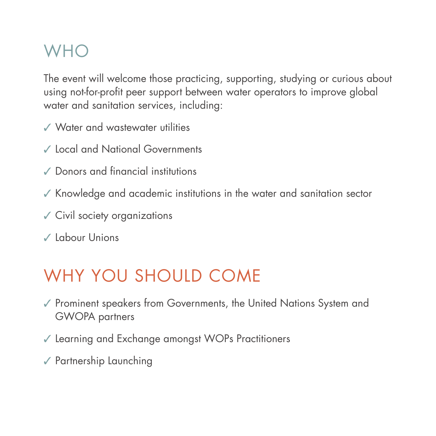### **WHO**

The event will welcome those practicing, supporting, studying or curious about using not-for-profit peer support between water operators to improve global water and sanitation services, including:

- ✓ Water and wastewater utilities
- ✓ Local and National Governments
- ✓ Donors and financial institutions
- ✓ Knowledge and academic institutions in the water and sanitation sector
- ✓ Civil society organizations
- ✓ Labour Unions

### WHY YOU SHOULD COME

- ✓ Prominent speakers from Governments, the United Nations System and GWOPA partners
- ✓ Learning and Exchange amongst WOPs Practitioners
- ✓ Partnership Launching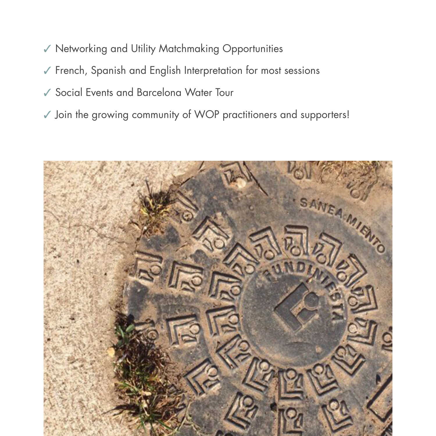- ✓ Networking and Utility Matchmaking Opportunities
- ✓ French, Spanish and English Interpretation for most sessions
- ✓ Social Events and Barcelona Water Tour
- ✓ Join the growing community of WOP practitioners and supporters!

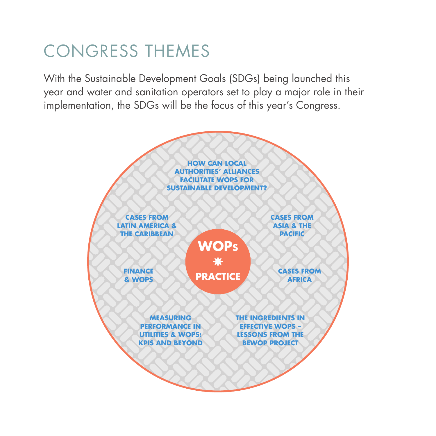### CONGRESS THEMES

With the Sustainable Development Goals (SDGs) being launched this year and water and sanitation operators set to play a major role in their implementation, the SDGs will be the focus of this year's Congress.

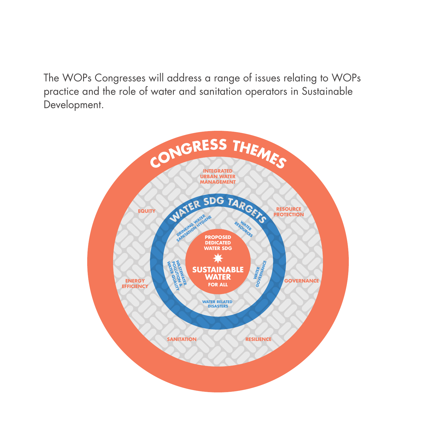The WOPs Congresses will address a range of issues relating to WOPs practice and the role of water and sanitation operators in Sustainable Development.

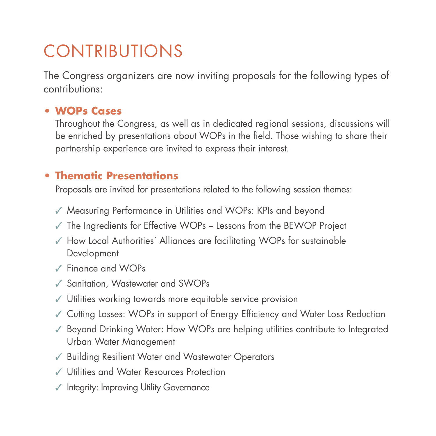## CONTRIBUTIONS

The Congress organizers are now inviting proposals for the following types of contributions:

#### **• WOPs Cases**

Throughout the Congress, as well as in dedicated regional sessions, discussions will be enriched by presentations about WOPs in the field. Those wishing to share their partnership experience are invited to express their interest.

#### **• Thematic Presentations**

Proposals are invited for presentations related to the following session themes:

- ✓ Measuring Performance in Utilities and WOPs: KPIs and beyond
- $\sqrt{\ }$  The Ingredients for Effective WOPs Lessons from the BEWOP Project
- ✓ How Local Authorities' Alliances are facilitating WOPs for sustainable Development
- ✓ Finance and WOPs
- ✓ Sanitation, Wastewater and SWOPs
- ✓ Utilities working towards more equitable service provision
- ✓ Cutting Losses: WOPs in support of Energy Efficiency and Water Loss Reduction
- ✓ Beyond Drinking Water: How WOPs are helping utilities contribute to Integrated Urban Water Management
- ✓ Building Resilient Water and Wastewater Operators
- ✓ Utilities and Water Resources Protection
- ✓ Integrity: Improving Utility Governance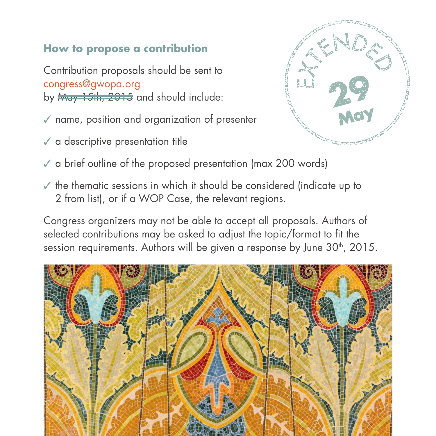#### **How to propose a contribution**

Contribution proposals should be sent to congress@gwopa.org by <del>May 15th, 2015</del> and should include:

- ✓ name, position and organization of presenter
- $\sqrt{\alpha}$  a descriptive presentation title



- $\sqrt{\alpha}$  a brief outline of the proposed presentation (max 200 words)
- $\checkmark$  the thematic sessions in which it should be considered (indicate up to 2 from list), or if a WOP Case, the relevant regions.

Congress organizers may not be able to accept all proposals. Authors of selected contributions may be asked to adjust the topic/format to fit the session requirements. Authors will be given a response by June 30<sup>th</sup>, 2015.

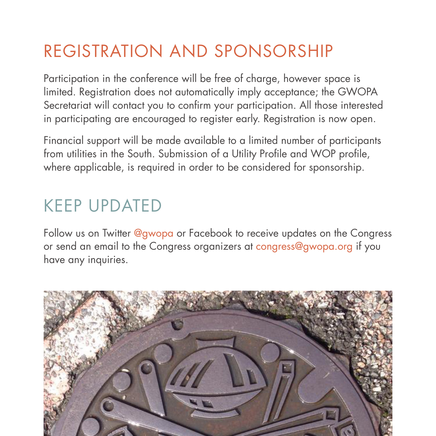### REGISTRATION AND SPONSORSHIP

Participation in the conference will be free of charge, however space is limited. Registration does not automatically imply acceptance; the GWOPA Secretariat will contact you to confirm your participation. All those interested in participating are encouraged to register early. Registration is now open.

Financial support will be made available to a limited number of participants from utilities in the South. Submission of a Utility Profile and WOP profile, where applicable, is required in order to be considered for sponsorship.

### KEEP UPDATED

Follow us on Twitter @gwopa or Facebook to receive updates on the Congress or send an email to the Congress organizers at congress@gwopa.org if you have any inquiries.

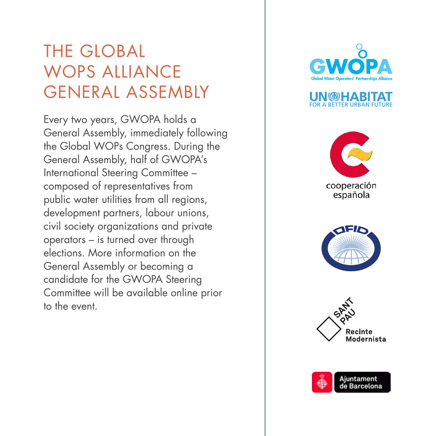### THE GLOBAL WOPS ALLIANCE GENERAL ASSEMBLY

Every two years, GWOPA holds a General Assembly, immediately following the Global WOPs Congress. During the General Assembly, half of GWOPA's International Steering Committee – composed of representatives from public water utilities from all regions, development partners, labour unions, civil society organizations and private operators – is turned over through elections. More information on the General Assembly or becoming a candidate for the GWOPA Steering Committee will be available online prior to the event.